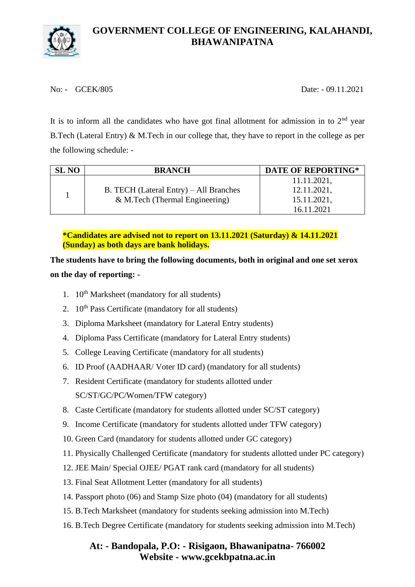

No: - GCEK/805 Date: - 09.11.2021

It is to inform all the candidates who have got final allotment for admission in to  $2<sup>nd</sup>$  year B.Tech (Lateral Entry) & M.Tech in our college that, they have to report in the college as per the following schedule: -

| <b>SL NO</b> | <b>BRANCH</b>                          | <b>DATE OF REPORTING*</b> |
|--------------|----------------------------------------|---------------------------|
|              |                                        | 11.11.2021,               |
|              | B. TECH (Lateral Entry) – All Branches | 12.11.2021,               |
|              | & M.Tech (Thermal Engineering)         | 15.11.2021,               |
|              |                                        | 16.11.2021                |

**\*Candidates are advised not to report on 13.11.2021 (Saturday) & 14.11.2021 (Sunday) as both days are bank holidays.**

**The students have to bring the following documents, both in original and one set xerox on the day of reporting: -**

- 1.  $10^{th}$  Marksheet (mandatory for all students)
- 2.  $10^{th}$  Pass Certificate (mandatory for all students)
- 3. Diploma Marksheet (mandatory for Lateral Entry students)
- 4. Diploma Pass Certificate (mandatory for Lateral Entry students)
- 5. College Leaving Certificate (mandatory for all students)
- 6. ID Proof (AADHAAR/ Voter ID card) (mandatory for all students)
- 7. Resident Certificate (mandatory for students allotted under SC/ST/GC/PC/Women/TFW category)
- 8. Caste Certificate (mandatory for students allotted under SC/ST category)
- 9. Income Certificate (mandatory for students allotted under TFW category)
- 10. Green Card (mandatory for students allotted under GC category)
- 11. Physically Challenged Certificate (mandatory for students allotted under PC category)
- 12. JEE Main/ Special OJEE/ PGAT rank card (mandatory for all students)
- 13. Final Seat Allotment Letter (mandatory for all students)
- 14. Passport photo (06) and Stamp Size photo (04) (mandatory for all students)
- 15. B.Tech Marksheet (mandatory for students seeking admission into M.Tech)
- 16. B.Tech Degree Certificate (mandatory for students seeking admission into M.Tech)

## **At: - Bandopala, P.O: - Risigaon, Bhawanipatna- 766002 Website - www.gcekbpatna.ac.in**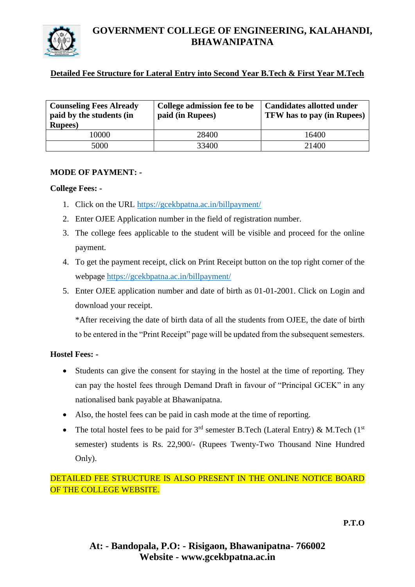

# **GOVERNMENT COLLEGE OF ENGINEERING, KALAHANDI, BHAWANIPATNA**

### **Detailed Fee Structure for Lateral Entry into Second Year B.Tech & First Year M.Tech**

| <b>Counseling Fees Already</b><br>paid by the students (in<br><b>Rupees</b> ) | College admission fee to be<br>paid (in Rupees) | <b>Candidates allotted under</b><br><b>TFW</b> has to pay (in Rupees) |
|-------------------------------------------------------------------------------|-------------------------------------------------|-----------------------------------------------------------------------|
| 10000                                                                         | 28400                                           | 16400                                                                 |
| 5000                                                                          | 33400                                           | 21400                                                                 |

#### **MODE OF PAYMENT: -**

#### **College Fees: -**

- 1. Click on the URL<https://gcekbpatna.ac.in/billpayment/>
- 2. Enter OJEE Application number in the field of registration number.
- 3. The college fees applicable to the student will be visible and proceed for the online payment.
- 4. To get the payment receipt, click on Print Receipt button on the top right corner of the webpage<https://gcekbpatna.ac.in/billpayment/>
- 5. Enter OJEE application number and date of birth as 01-01-2001. Click on Login and download your receipt.

\*After receiving the date of birth data of all the students from OJEE, the date of birth to be entered in the "Print Receipt" page will be updated from the subsequent semesters.

### **Hostel Fees: -**

- Students can give the consent for staying in the hostel at the time of reporting. They can pay the hostel fees through Demand Draft in favour of "Principal GCEK" in any nationalised bank payable at Bhawanipatna.
- Also, the hostel fees can be paid in cash mode at the time of reporting.
- The total hostel fees to be paid for  $3<sup>rd</sup>$  semester B.Tech (Lateral Entry) & M.Tech (1<sup>st</sup>) semester) students is Rs. 22,900/- (Rupees Twenty-Two Thousand Nine Hundred Only).

### DETAILED FEE STRUCTURE IS ALSO PRESENT IN THE ONLINE NOTICE BOARD OF THE COLLEGE WEBSITE.